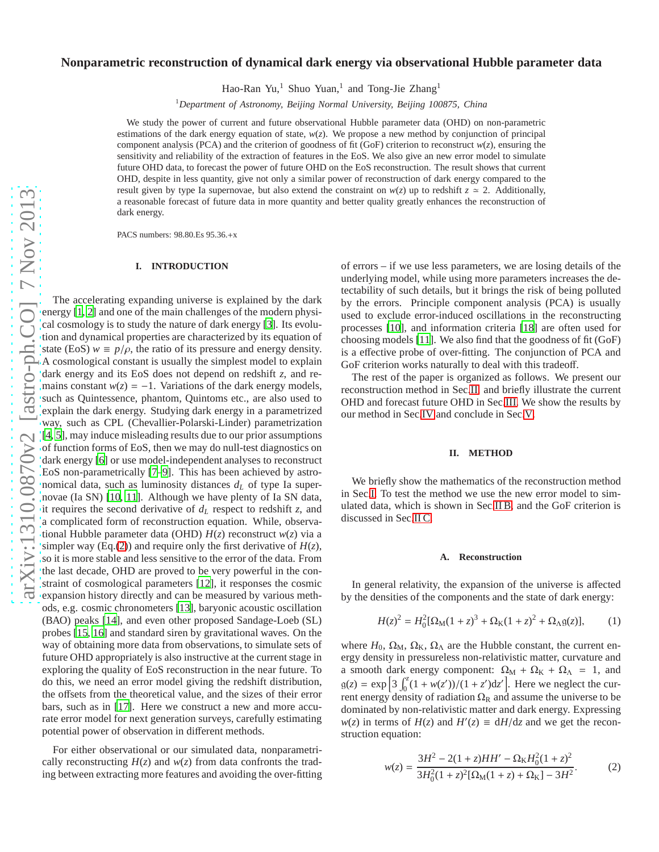# **Nonparametric reconstruction of dynamical dark energy via observational Hubble parameter data**

Hao-Ran Yu,<sup>1</sup> Shuo Yuan,<sup>1</sup> and Tong-Jie Zhang<sup>1</sup>

<sup>1</sup>*Department of Astronomy, Beijing Normal University, Beijing 100875, China*

We study the power of current and future observational Hubble parameter data (OHD) on non-parametric estimations of the dark energy equation of state, *w*(*z*). We propose a new method by conjunction of principal component analysis (PCA) and the criterion of goodness of fit (GoF) criterion to reconstruct  $w(z)$ , ensuring the sensitivity and reliability of the extraction of features in the EoS. We also give an new error model to simulate future OHD data, to forecast the power of future OHD on the EoS reconstruction. The result shows that current OHD, despite in less quantity, give not only a similar power of reconstruction of dark energy compared to the result given by type Ia supernovae, but also extend the constraint on  $w(z)$  up to redshift  $z \approx 2$ . Additionally, a reasonable forecast of future data in more quantity and better quality greatly enhances the reconstruction of dark energy.

PACS numbers: 98.80.Es 95.36.+x

### <span id="page-0-2"></span>**I. INTRODUCTION**

The accelerating expanding universe is explained by the dark energy [\[1,](#page-4-0) [2](#page-4-1)] and one of the main challenges of the modern physical cosmology is to study the nature of dark energy [\[3\]](#page-4-2). Its evolution and dynamical properties are characterized by its equation of state (EoS)  $w \equiv p/\rho$ , the ratio of its pressure and energy density.<br>A cosmological constant is usually the simplest model to explain dark energy and its EoS does not depend on redshift *z*, and remains constant  $w(z) = -1$ . Variations of the dark energy models, such as Quintessence, phantom, Quintoms etc., are also used to explain the dark energy. Studying dark energy in a parametrized way, such as CPL (Chevallier-Polarski-Linder) parametrization [\[4,](#page-4-3) [5](#page-4-4)], may induce misleading results due to our prior assumptions of function forms of EoS, then we may do null-test diagnostics on dark energy [\[6\]](#page-4-5) or use model-independent analyses to reconstruct EoS non-parametrically [\[7](#page-4-6)[–9\]](#page-4-7). This has been achieved by astronomical data, such as luminosity distances *d<sup>L</sup>* of type Ia supernovae (Ia SN) [\[10,](#page-4-8) [11](#page-4-9)]. Although we have plenty of Ia SN data, it requires the second derivative of *d<sup>L</sup>* respect to redshift *z*, and a complicated form of reconstruction equation. While, observational Hubble parameter data (OHD) *H*(*z*) reconstruct *w*(*z*) via a simpler way (Eq.[\(2\)](#page-0-0)) and require only the first derivative of  $H(z)$ , so it is more stable and less sensitive to the error of the data. From the last decade, OHD are proved to be very powerful in the constraint of cosmological parameters [\[12\]](#page-4-10), it responses the cosmic expansion history directly and can be measured by various methods, e.g. cosmic chronometers [\[13\]](#page-4-11), baryonic acoustic oscillation (BAO) peaks [\[14](#page-4-12)], and even other proposed Sandage-Loeb (SL) probes [\[15,](#page-4-13) [16](#page-4-14)] and standard siren by gravitational waves. On the way of obtaining more data from observations, to simulate sets of future OHD appropriately is also instructive at the current stage in exploring the quality of EoS reconstruction in the near future. To do this, we need an error model giving the redshift distribution, the offsets from the theoretical value, and the sizes of their error bars, such as in [\[17\]](#page-4-15). Here we construct a new and more accurate error model for next generation surveys, carefully estimating potential power of observation in different methods.

For either observational or our simulated data, nonparametrically reconstructing  $H(z)$  and  $w(z)$  from data confronts the trading between extracting more features and avoiding the over-fitting

of errors – if we use less parameters, we are losing details of the underlying model, while using more parameters increases the detectability of such details, but it brings the risk of being polluted by the errors. Principle component analysis (PCA) is usually used to exclude error-induced oscillations in the reconstructing processes [\[10](#page-4-8)], and information criteria [\[18](#page-4-16)] are often used for choosing models [\[11\]](#page-4-9). We also find that the goodness of fit (GoF) is a effective probe of over-fitting. The conjunction of PCA and GoF criterion works naturally to deal with this tradeoff.

The rest of the paper is organized as follows. We present our reconstruction method in Sec[.II,](#page-0-1) and briefly illustrate the current OHD and forecast future OHD in Sec[.III.](#page-2-0) We show the results by our method in Sec[.IV](#page-3-0) and conclude in Sec[.V.](#page-3-1)

## <span id="page-0-1"></span>**II. METHOD**

We briefly show the mathematics of the reconstruction method in Sec[.I.](#page-0-2) To test the method we use the new error model to simulated data, which is shown in Sec[.II B,](#page-1-0) and the GoF criterion is discussed in Sec[.II C.](#page-1-1)

### **A. Reconstruction**

In general relativity, the expansion of the universe is affected by the densities of the components and the state of dark energy:

$$
H(z)^{2} = H_{0}^{2}[\Omega_{\rm M}(1+z)^{3} + \Omega_{\rm K}(1+z)^{2} + \Omega_{\Lambda}g(z)],
$$
 (1)

where  $H_0$ ,  $\Omega_M$ ,  $\Omega_K$ ,  $\Omega_\Lambda$  are the Hubble constant, the current energy density in pressureless non-relativistic matter, curvature and a smooth dark energy component:  $\Omega_M + \Omega_K + \Omega_\Lambda = 1$ , and  $g(z) = \exp \left[ 3 \int_0^z (1 + w(z')) / (1 + z') dz' \right]$ . Here we neglect the current energy density of radiation  $\Omega_R$  and assume the universe to be dominated by non-relativistic matter and dark energy. Expressing  $w(z)$  in terms of  $H(z)$  and  $H'(z) \equiv dH/dz$  and we get the reconstruction equation:

<span id="page-0-0"></span>
$$
w(z) = \frac{3H^2 - 2(1+z)HH' - \Omega_K H_0^2 (1+z)^2}{3H_0^2 (1+z)^2 [\Omega_M(1+z) + \Omega_K] - 3H^2}.
$$
 (2)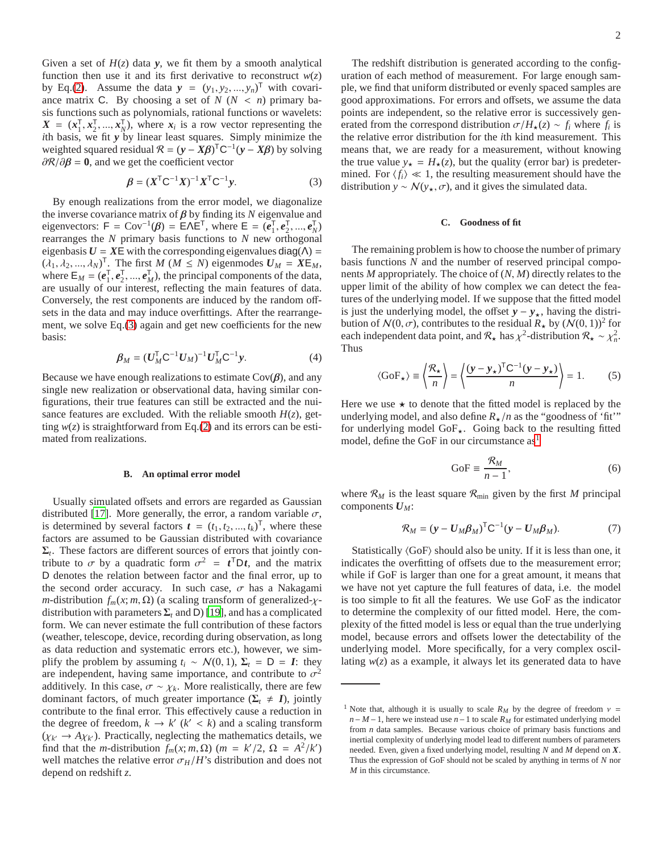Given a set of  $H(z)$  data **y**, we fit them by a smooth analytical function then use it and its first derivative to reconstruct  $w(z)$ by Eq.[\(2\)](#page-0-0). Assume the data  $y = (y_1, y_2, ..., y_n)^\mathsf{T}$  with covariance matrix C. By choosing a set of  $N$  ( $N < n$ ) primary basis functions such as polynomials, rational functions or wavelets:  $X = (x_1^T, x_2^T, ..., x_N^T)$ , where  $x_i$  is a row vector representing the *i*th basis, we fit *y* by linear least squares. Simply minimize the weighted squared residual  $\mathcal{R} = (\mathbf{y} - \mathbf{X}\boldsymbol{\beta})^{\mathsf{T}}\mathbf{C}^{-1}(\mathbf{y} - \mathbf{X}\boldsymbol{\beta})$  by solving  $\frac{\partial \mathcal{R}}{\partial \beta} = 0$ , and we get the coefficient vector

<span id="page-1-2"></span>
$$
\beta = (X^{\mathsf{T}}C^{-1}X)^{-1}X^{\mathsf{T}}C^{-1}y.
$$
 (3)

By enough realizations from the error model, we diagonalize the inverse covariance matrix of  $\beta$  by finding its *N* eigenvalue and eigenvectors:  $F = Cov^{-1}(\beta) = E\Lambda E^{T}$ , where  $E = (e_{1}^{T}, e_{2}^{T}, ..., e_{N}^{T})$ rearranges the *N* primary basis functions to *N* new orthogonal eigenbasis  $U = XE$  with the corresponding eigenvalues diag( $\Lambda$ ) =  $(\lambda_1, \lambda_2, ..., \lambda_N)^T$ . The first *M* (*M*  $\leq N$ ) eigenmodes  $U_M = XE_M$ , where  $\mathsf{E}_M = (e_1^\mathsf{T}, e_2^\mathsf{T}, ..., e_M^\mathsf{T})$ , the principal components of the data, are usually of our interest, reflecting the main features of data. Conversely, the rest components are induced by the random offsets in the data and may induce overfittings. After the rearrangement, we solve Eq.[\(3\)](#page-1-2) again and get new coefficients for the new basis:

$$
\beta_M = (U_M^{\mathsf{T}} C^{-1} U_M)^{-1} U_M^{\mathsf{T}} C^{-1} y. \tag{4}
$$

Because we have enough realizations to estimate  $Cov(\beta)$ , and any single new realization or observational data, having similar configurations, their true features can still be extracted and the nuisance features are excluded. With the reliable smooth  $H(z)$ , getting  $w(z)$  is straightforward from Eq.[\(2\)](#page-0-0) and its errors can be estimated from realizations.

### <span id="page-1-0"></span>**B. An optimal error model**

Usually simulated offsets and errors are regarded as Gaussian distributed [\[17\]](#page-4-15). More generally, the error, a random variable  $\sigma$ , is determined by several factors  $t = (t_1, t_2, ..., t_k)^T$ , where these factors are assumed to be Gaussian distributed with covariance  $\Sigma_t$ . These factors are different sources of errors that jointly contribute to  $\sigma$  by a quadratic form  $\sigma^2 = t^T D t$ , and the matrix D denotes the relation between factor and the final error, up to the second order accuracy. In such case,  $\sigma$  has a Nakagami *m*-distribution  $f_m(x; m, Ω)$  (a scaling transform of generalized- $χ$ distribution with parameters  $\Sigma_t$  and D) [\[19\]](#page-4-17), and has a complicated form. We can never estimate the full contribution of these factors (weather, telescope, device, recording during observation, as long as data reduction and systematic errors etc.), however, we simplify the problem by assuming  $t_i \sim N(0, 1)$ ,  $\Sigma_t = D = I$ : they are independent, having same importance, and contribute to  $\sigma^2$ additively. In this case,  $\sigma \sim \chi_k$ . More realistically, there are few dominant factors, of much greater importance ( $\Sigma_t \neq I$ ), jointly contribute to the final error. This effectively cause a reduction in the degree of freedom,  $k \to k'$  ( $k' < k$ ) and a scaling transform  $(\chi_k \to A \chi_k)$ . Practically, neglecting the mathematics details, we find that the *m*-distribution  $f_m(x; m, \Omega)$  ( $m = k'/2$ ,  $\Omega = A^2/k'$ ) well matches the relative error  $\sigma_H/H$ 's distribution and does not depend on redshift *z*.

The redshift distribution is generated according to the configuration of each method of measurement. For large enough sample, we find that uniform distributed or evenly spaced samples are good approximations. For errors and offsets, we assume the data points are independent, so the relative error is successively generated from the correspond distribution  $\sigma/H_{\star}(z) \sim f_i$  where  $f_i$  is the relative error distribution for the *i*th kind measurement. This means that, we are ready for a measurement, without knowing the true value  $y_{\star} = H_{\star}(z)$ , but the quality (error bar) is predetermined. For  $\langle f_i \rangle \ll 1$ , the resulting measurement should have the distribution *y* ∼  $\mathcal{N}(y_{\star}, \sigma)$ , and it gives the simulated data.

## <span id="page-1-1"></span>**C. Goodness of fit**

The remaining problem is how to choose the number of primary basis functions *N* and the number of reserved principal components *M* appropriately. The choice of (*N*, *M*) directly relates to the upper limit of the ability of how complex we can detect the features of the underlying model. If we suppose that the fitted model is just the underlying model, the offset  $y - y_{\star}$ , having the distribution of  $\mathcal{N}(0, \sigma)$ , contributes to the residual  $R_{\star}$  by  $(\mathcal{N}(0, 1))^2$  for each independent data point, and  $\mathcal{R}_{\star}$  has  $\chi^2$ -distribution  $\mathcal{R}_{\star} \sim \chi^2_n$ . Thus

$$
\langle \text{GoF}_{\star} \rangle \equiv \left\langle \frac{\mathcal{R}_{\star}}{n} \right\rangle = \left\langle \frac{(y - y_{\star})^{\mathsf{T}} \mathsf{C}^{-1} (y - y_{\star})}{n} \right\rangle = 1. \tag{5}
$$

Here we use  $\star$  to denote that the fitted model is replaced by the underlying model, and also define  $R_{\star}/n$  as the "goodness of 'fit'" for underlying model GoF<sub>\*</sub>. Going back to the resulting fitted model, define the GoF in our circumstance  $as<sup>1</sup>$  $as<sup>1</sup>$  $as<sup>1</sup>$ 

$$
\text{GoF} \equiv \frac{\mathcal{R}_M}{n-1},\tag{6}
$$

where  $\mathcal{R}_M$  is the least square  $\mathcal{R}_{\text{min}}$  given by the first M principal components *UM*:

$$
\mathcal{R}_M = (\mathbf{y} - \mathbf{U}_M \boldsymbol{\beta}_M)^{\mathsf{T}} \mathbf{C}^{-1} (\mathbf{y} - \mathbf{U}_M \boldsymbol{\beta}_M). \tag{7}
$$

Statistically  $\langle GoF \rangle$  should also be unity. If it is less than one, it indicates the overfitting of offsets due to the measurement error; while if GoF is larger than one for a great amount, it means that we have not yet capture the full features of data, i.e. the model is too simple to fit all the features. We use GoF as the indicator to determine the complexity of our fitted model. Here, the complexity of the fitted model is less or equal than the true underlying model, because errors and offsets lower the detectability of the underlying model. More specifically, for a very complex oscillating  $w(z)$  as a example, it always let its generated data to have

<span id="page-1-3"></span><sup>&</sup>lt;sup>1</sup> Note that, although it is usually to scale  $R_M$  by the degree of freedom  $v =$ *n*−*M*−1, here we instead use *n*−1 to scale  $R_M$  for estimated underlying model from *n* data samples. Because various choice of primary basis functions and inertial complexity of underlying model lead to different numbers of parameters needed. Even, given a fixed underlying model, resulting *N* and *M* depend on *X*. Thus the expression of GoF should not be scaled by anything in terms of *N* nor *M* in this circumstance.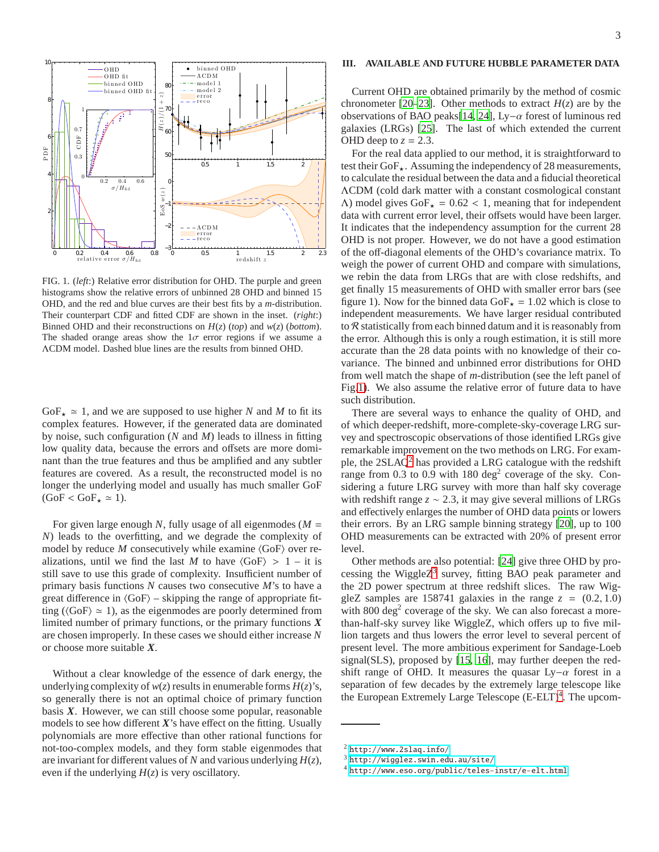

<span id="page-2-1"></span>FIG. 1. (*left*:) Relative error distribution for OHD. The purple and green histograms show the relative errors of unbinned 28 OHD and binned 15 OHD, and the red and blue curves are their best fits by a *m*-distribution. Their counterpart CDF and fitted CDF are shown in the inset. (*right*:) Binned OHD and their reconstructions on *H*(*z*) (*top*) and *w*(*z*) (*bottom*). The shaded orange areas show the  $1\sigma$  error regions if we assume a ΛCDM model. Dashed blue lines are the results from binned OHD.

GoF<sub>**+**</sub>  $\simeq$  1, and we are supposed to use higher *N* and *M* to fit its complex features. However, if the generated data are dominated by noise, such configuration (*N* and *M*) leads to illness in fitting low quality data, because the errors and offsets are more dominant than the true features and thus be amplified and any subtler features are covered. As a result, the reconstructed model is no longer the underlying model and usually has much smaller GoF  $(GoF < GoF_{\star} \simeq 1)$ .

For given large enough *N*, fully usage of all eigenmodes (*M* = *N*) leads to the overfitting, and we degrade the complexity of model by reduce  $M$  consecutively while examine  $\langle GoF \rangle$  over realizations, until we find the last *M* to have  $\langle GoF \rangle > 1 - it$  is still save to use this grade of complexity. Insufficient number of primary basis functions *N* causes two consecutive *M*'s to have a great difference in  $\langle GoF \rangle$  – skipping the range of appropriate fitting ( $\langle$ GoF $\rangle \approx 1$ ), as the eigenmodes are poorly determined from limited number of primary functions, or the primary functions *X* are chosen improperly. In these cases we should either increase *N* or choose more suitable *X*.

Without a clear knowledge of the essence of dark energy, the underlying complexity of  $w(z)$  results in enumerable forms  $H(z)$ 's, so generally there is not an optimal choice of primary function basis *X*. However, we can still choose some popular, reasonable models to see how different *X*'s have effect on the fitting. Usually polynomials are more effective than other rational functions for not-too-complex models, and they form stable eigenmodes that are invariant for different values of *N* and various underlying *H*(*z*), even if the underlying  $H(z)$  is very oscillatory.

## <span id="page-2-0"></span>**III. AVAILABLE AND FUTURE HUBBLE PARAMETER DATA**

Current OHD are obtained primarily by the method of cosmic chronometer [\[20](#page-4-18)[–23\]](#page-4-19). Other methods to extract  $H(z)$  are by the observations of BAO peaks[\[14,](#page-4-12) [24\]](#page-4-20), Ly−α forest of luminous red galaxies (LRGs) [\[25\]](#page-4-21). The last of which extended the current OHD deep to  $z = 2.3$ .

For the real data applied to our method, it is straightforward to test their GoF $_{\star}$ . Assuming the independency of 28 measurements, to calculate the residual between the data and a fiducial theoretical ΛCDM (cold dark matter with a constant cosmological constant  $Λ$ ) model gives GoF<sub>**\***</sub> = 0.62 < 1, meaning that for independent data with current error level, their offsets would have been larger. It indicates that the independency assumption for the current 28 OHD is not proper. However, we do not have a good estimation of the off-diagonal elements of the OHD's covariance matrix. To weigh the power of current OHD and compare with simulations, we rebin the data from LRGs that are with close redshifts, and get finally 15 measurements of OHD with smaller error bars (see figure 1). Now for the binned data GoF $_{\star}$  = 1.02 which is close to independent measurements. We have larger residual contributed to  $R$  statistically from each binned datum and it is reasonably from the error. Although this is only a rough estimation, it is still more accurate than the 28 data points with no knowledge of their covariance. The binned and unbinned error distributions for OHD from well match the shape of *m*-distribution (see the left panel of Fig[.1\)](#page-2-1). We also assume the relative error of future data to have such distribution.

There are several ways to enhance the quality of OHD, and of which deeper-redshift, more-complete-sky-coverage LRG survey and spectroscopic observations of those identified LRGs give remarkable improvement on the two methods on LRG. For example, the  $2SLAQ<sup>2</sup>$  $2SLAQ<sup>2</sup>$  has provided a LRG catalogue with the redshift range from  $0.3$  to  $0.9$  with 180 deg<sup>2</sup> coverage of the sky. Considering a future LRG survey with more than half sky coverage with redshift range  $z \sim 2.3$ , it may give several millions of LRGs and effectively enlarges the number of OHD data points or lowers their errors. By an LRG sample binning strategy [\[20\]](#page-4-18), up to 100 OHD measurements can be extracted with 20% of present error level.

Other methods are also potential: [\[24](#page-4-20)] give three OHD by processing the Wiggle $Z^3$  $Z^3$  survey, fitting BAO peak parameter and the 2D power spectrum at three redshift slices. The raw WiggleZ samples are 158741 galaxies in the range  $z = (0.2, 1.0)$ with  $800 \text{ deg}^2$  coverage of the sky. We can also forecast a morethan-half-sky survey like WiggleZ, which offers up to five million targets and thus lowers the error level to several percent of present level. The more ambitious experiment for Sandage-Loeb signal(SLS), proposed by [\[15](#page-4-13), [16](#page-4-14)], may further deepen the redshift range of OHD. It measures the quasar  $Ly-\alpha$  forest in a separation of few decades by the extremely large telescope like the European Extremely Large Telescope (E-ELT)<sup>[4](#page-2-4)</sup>. The upcom-

 $<sup>2</sup>$  <http://www.2slaq.info/></sup>

<span id="page-2-2"></span><sup>3</sup> <http://wigglez.swin.edu.au/site/>

<span id="page-2-4"></span><span id="page-2-3"></span><sup>4</sup> <http://www.eso.org/public/teles-instr/e-elt.html>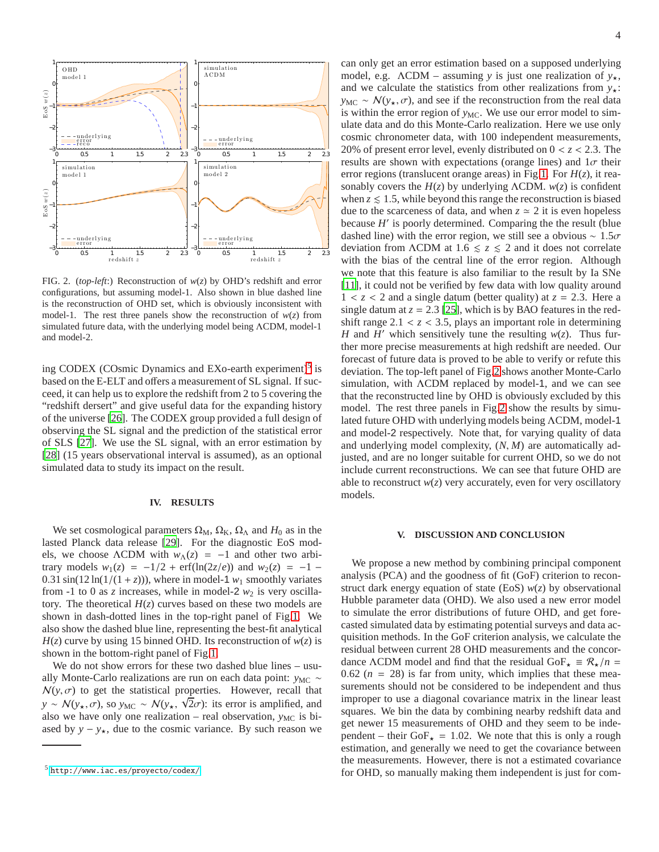

<span id="page-3-3"></span>FIG. 2. (*top-left*:) Reconstruction of *w*(*z*) by OHD's redshift and error configurations, but assuming model-1. Also shown in blue dashed line is the reconstruction of OHD set, which is obviously inconsistent with model-1. The rest three panels show the reconstruction of  $w(z)$  from simulated future data, with the underlying model being ΛCDM, model-1 and model-2.

ing CODEX (COsmic Dynamics and EXo-earth experiment)<sup>[5](#page-3-2)</sup> is based on the E-ELT and offers a measurement of SL signal. If succeed, it can help us to explore the redshift from 2 to 5 covering the "redshift dersert" and give useful data for the expanding history of the universe [\[26](#page-4-22)]. The CODEX group provided a full design of observing the SL signal and the prediction of the statistical error of SLS [\[27](#page-4-23)]. We use the SL signal, with an error estimation by [\[28\]](#page-4-24) (15 years observational interval is assumed), as an optional simulated data to study its impact on the result.

## <span id="page-3-0"></span>**IV. RESULTS**

We set cosmological parameters  $\Omega_M$ ,  $\Omega_K$ ,  $\Omega_\Lambda$  and  $H_0$  as in the lasted Planck data release [\[29\]](#page-4-25). For the diagnostic EoS models, we choose  $\triangle CDM$  with  $w_{\triangle}(z) = -1$  and other two arbitrary models  $w_1(z) = -1/2 + \text{erf}(\ln(2z/e))$  and  $w_2(z) = -1$  – 0.31 sin(12 ln( $1/(1 + z)$ )), where in model-1  $w_1$  smoothly variates from -1 to 0 as  $\zeta$  increases, while in model-2  $w_2$  is very oscillatory. The theoretical  $H(z)$  curves based on these two models are shown in dash-dotted lines in the top-right panel of Fig[.1.](#page-2-1) We also show the dashed blue line, representing the best-fit analytical  $H(z)$  curve by using 15 binned OHD. Its reconstruction of  $w(z)$  is shown in the bottom-right panel of Fig[.1.](#page-2-1)

We do not show errors for these two dashed blue lines – usually Monte-Carlo realizations are run on each data point: *y*<sub>MC</sub> ∼  $N(y, \sigma)$  to get the statistical properties. However, recall that  $y \sim N(y_{\star}, \sigma)$ , so  $y_{MC} \sim N(y_{\star}, \sqrt{2}\sigma)$ : its error is amplified, and also we have only one realization – real observation,  $y_{MC}$  is biased by  $y - y_{\star}$ , due to the cosmic variance. By such reason we

can only get an error estimation based on a supposed underlying model, e.g.  $\Lambda$ CDM – assuming *y* is just one realization of  $y_{\star}$ , and we calculate the statistics from other realizations from  $y_{\star}$ : *y*<sub>MC</sub> ~  $N(y_*, \sigma)$ , and see if the reconstruction from the real data is within the error region of  $y_{MC}$ . We use our error model to simulate data and do this Monte-Carlo realization. Here we use only cosmic chronometer data, with 100 independent measurements, 20% of present error level, evenly distributed on 0 < *z* < 2.3. The results are shown with expectations (orange lines) and  $1\sigma$  their error regions (translucent orange areas) in Fig[.1.](#page-2-1) For *H*(*z*), it reasonably covers the  $H(z)$  by underlying  $\Lambda$ CDM.  $w(z)$  is confident when  $z \leq 1.5$ , while beyond this range the reconstruction is biased due to the scarceness of data, and when  $z \approx 2$  it is even hopeless because *H'* is poorly determined. Comparing the the result (blue dashed line) with the error region, we still see a obvious  $\sim 1.5\sigma$ deviation from  $\Lambda$ CDM at 1.6  $\le z \le 2$  and it does not correlate with the bias of the central line of the error region. Although we note that this feature is also familiar to the result by Ia SNe [\[11](#page-4-9)], it could not be verified by few data with low quality around  $1 < z < 2$  and a single datum (better quality) at  $z = 2.3$ . Here a single datum at  $z = 2.3$  [\[25\]](#page-4-21), which is by BAO features in the redshift range  $2.1 < z < 3.5$ , plays an important role in determining *H* and *H'* which sensitively tune the resulting  $w(z)$ . Thus further more precise measurements at high redshift are needed. Our forecast of future data is proved to be able to verify or refute this deviation. The top-left panel of Fig[.2](#page-3-3) shows another Monte-Carlo simulation, with ΛCDM replaced by model-1, and we can see that the reconstructed line by OHD is obviously excluded by this model. The rest three panels in Fig[.2](#page-3-3) show the results by simulated future OHD with underlying models being ΛCDM, model-1 and model-2 respectively. Note that, for varying quality of data and underlying model complexity, (*N*, *M*) are automatically adjusted, and are no longer suitable for current OHD, so we do not include current reconstructions. We can see that future OHD are able to reconstruct  $w(z)$  very accurately, even for very oscillatory models.

#### <span id="page-3-1"></span>**V. DISCUSSION AND CONCLUSION**

We propose a new method by combining principal component analysis (PCA) and the goodness of fit (GoF) criterion to reconstruct dark energy equation of state (EoS)  $w(z)$  by observational Hubble parameter data (OHD). We also used a new error model to simulate the error distributions of future OHD, and get forecasted simulated data by estimating potential surveys and data acquisition methods. In the GoF criterion analysis, we calculate the residual between current 28 OHD measurements and the concordance  $\Lambda$ CDM model and find that the residual GoF<sub> $\star \equiv \mathcal{R}_{\star}/n =$ </sub> 0.62 ( $n = 28$ ) is far from unity, which implies that these measurements should not be considered to be independent and thus improper to use a diagonal covariance matrix in the linear least squares. We bin the data by combining nearby redshift data and get newer 15 measurements of OHD and they seem to be independent – their GoF $\star$  = 1.02. We note that this is only a rough estimation, and generally we need to get the covariance between the measurements. However, there is not a estimated covariance for OHD, so manually making them independent is just for com-

<span id="page-3-2"></span><sup>5</sup> <http://www.iac.es/proyecto/codex/>